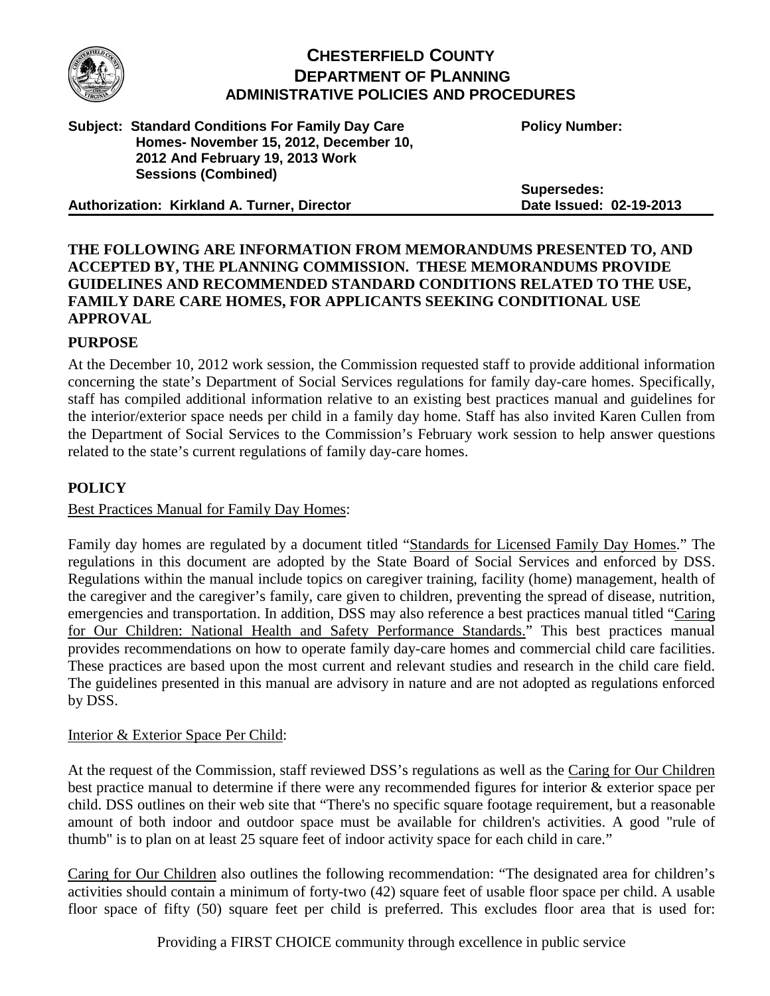

# **CHESTERFIELD COUNTY DEPARTMENT OF PLANNING ADMINISTRATIVE POLICIES AND PROCEDURES**

#### **Subject: Standard Conditions For Family Day Care Homes- November 15, 2012, December 10, 2012 And February 19, 2013 Work Sessions (Combined)**

**Authorization: Kirkland A. Turner, Director**

**Policy Number:** 

**Supersedes: Date Issued: 02-19-2013**

# **THE FOLLOWING ARE INFORMATION FROM MEMORANDUMS PRESENTED TO, AND ACCEPTED BY, THE PLANNING COMMISSION. THESE MEMORANDUMS PROVIDE GUIDELINES AND RECOMMENDED STANDARD CONDITIONS RELATED TO THE USE, FAMILY DARE CARE HOMES, FOR APPLICANTS SEEKING CONDITIONAL USE APPROVAL**

# **PURPOSE**

At the December 10, 2012 work session, the Commission requested staff to provide additional information concerning the state's Department of Social Services regulations for family day-care homes. Specifically, staff has compiled additional information relative to an existing best practices manual and guidelines for the interior/exterior space needs per child in a family day home. Staff has also invited Karen Cullen from the Department of Social Services to the Commission's February work session to help answer questions related to the state's current regulations of family day-care homes.

# **POLICY**

# Best Practices Manual for Family Day Homes:

Family day homes are regulated by a document titled "Standards for Licensed Family Day Homes." The regulations in this document are adopted by the State Board of Social Services and enforced by DSS. Regulations within the manual include topics on caregiver training, facility (home) management, health of the caregiver and the caregiver's family, care given to children, preventing the spread of disease, nutrition, emergencies and transportation. In addition, DSS may also reference a best practices manual titled "Caring for Our Children: National Health and Safety Performance Standards." This best practices manual provides recommendations on how to operate family day-care homes and commercial child care facilities. These practices are based upon the most current and relevant studies and research in the child care field. The guidelines presented in this manual are advisory in nature and are not adopted as regulations enforced by DSS.

#### Interior & Exterior Space Per Child:

At the request of the Commission, staff reviewed DSS's regulations as well as the Caring for Our Children best practice manual to determine if there were any recommended figures for interior & exterior space per child. DSS outlines on their web site that "There's no specific square footage requirement, but a reasonable amount of both indoor and outdoor space must be available for children's activities. A good "rule of thumb" is to plan on at least 25 square feet of indoor activity space for each child in care."

Caring for Our Children also outlines the following recommendation: "The designated area for children's activities should contain a minimum of forty-two (42) square feet of usable floor space per child. A usable floor space of fifty (50) square feet per child is preferred. This excludes floor area that is used for:

Providing a FIRST CHOICE community through excellence in public service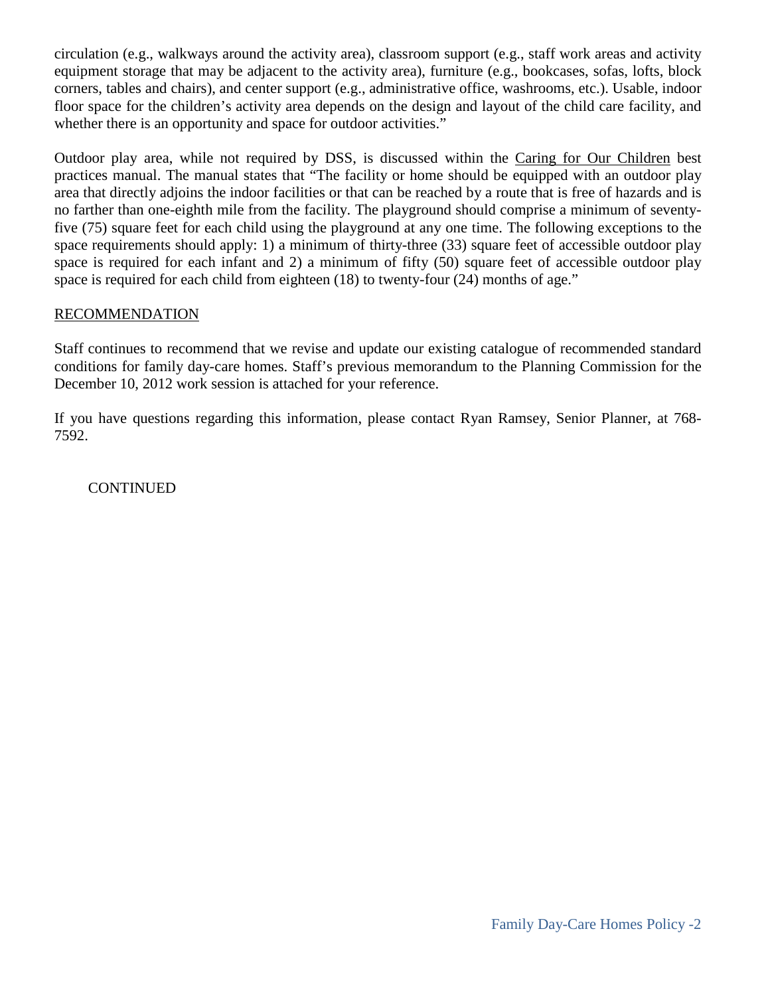circulation (e.g., walkways around the activity area), classroom support (e.g., staff work areas and activity equipment storage that may be adjacent to the activity area), furniture (e.g., bookcases, sofas, lofts, block corners, tables and chairs), and center support (e.g., administrative office, washrooms, etc.). Usable, indoor floor space for the children's activity area depends on the design and layout of the child care facility, and whether there is an opportunity and space for outdoor activities."

Outdoor play area, while not required by DSS, is discussed within the Caring for Our Children best practices manual. The manual states that "The facility or home should be equipped with an outdoor play area that directly adjoins the indoor facilities or that can be reached by a route that is free of hazards and is no farther than one-eighth mile from the facility. The playground should comprise a minimum of seventyfive (75) square feet for each child using the playground at any one time. The following exceptions to the space requirements should apply: 1) a minimum of thirty-three (33) square feet of accessible outdoor play space is required for each infant and 2) a minimum of fifty (50) square feet of accessible outdoor play space is required for each child from eighteen (18) to twenty-four (24) months of age."

### RECOMMENDATION

Staff continues to recommend that we revise and update our existing catalogue of recommended standard conditions for family day-care homes. Staff's previous memorandum to the Planning Commission for the December 10, 2012 work session is attached for your reference.

If you have questions regarding this information, please contact Ryan Ramsey, Senior Planner, at 768- 7592.

**CONTINUED**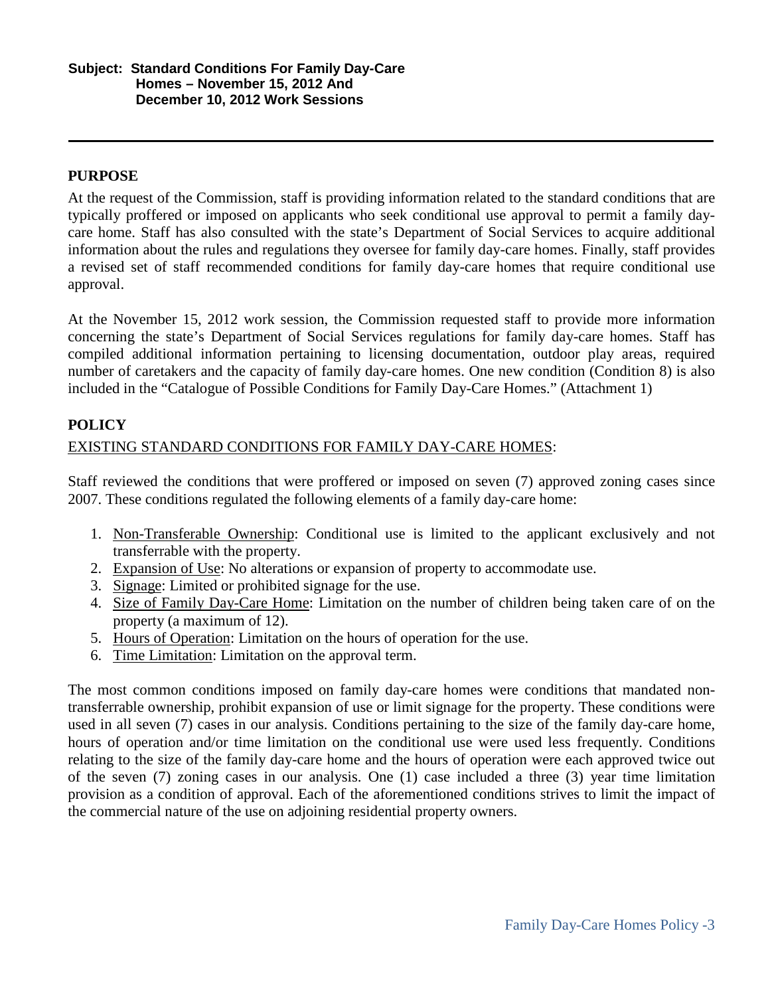### **PURPOSE**

At the request of the Commission, staff is providing information related to the standard conditions that are typically proffered or imposed on applicants who seek conditional use approval to permit a family daycare home. Staff has also consulted with the state's Department of Social Services to acquire additional information about the rules and regulations they oversee for family day-care homes. Finally, staff provides a revised set of staff recommended conditions for family day-care homes that require conditional use approval.

At the November 15, 2012 work session, the Commission requested staff to provide more information concerning the state's Department of Social Services regulations for family day-care homes. Staff has compiled additional information pertaining to licensing documentation, outdoor play areas, required number of caretakers and the capacity of family day-care homes. One new condition (Condition 8) is also included in the "Catalogue of Possible Conditions for Family Day-Care Homes." (Attachment 1)

# **POLICY**

### EXISTING STANDARD CONDITIONS FOR FAMILY DAY-CARE HOMES:

Staff reviewed the conditions that were proffered or imposed on seven (7) approved zoning cases since 2007. These conditions regulated the following elements of a family day-care home:

- 1. Non-Transferable Ownership: Conditional use is limited to the applicant exclusively and not transferrable with the property.
- 2. Expansion of Use: No alterations or expansion of property to accommodate use.
- 3. Signage: Limited or prohibited signage for the use.
- 4. Size of Family Day-Care Home: Limitation on the number of children being taken care of on the property (a maximum of 12).
- 5. Hours of Operation: Limitation on the hours of operation for the use.
- 6. Time Limitation: Limitation on the approval term.

The most common conditions imposed on family day-care homes were conditions that mandated nontransferrable ownership, prohibit expansion of use or limit signage for the property. These conditions were used in all seven (7) cases in our analysis. Conditions pertaining to the size of the family day-care home, hours of operation and/or time limitation on the conditional use were used less frequently. Conditions relating to the size of the family day-care home and the hours of operation were each approved twice out of the seven (7) zoning cases in our analysis. One (1) case included a three (3) year time limitation provision as a condition of approval. Each of the aforementioned conditions strives to limit the impact of the commercial nature of the use on adjoining residential property owners.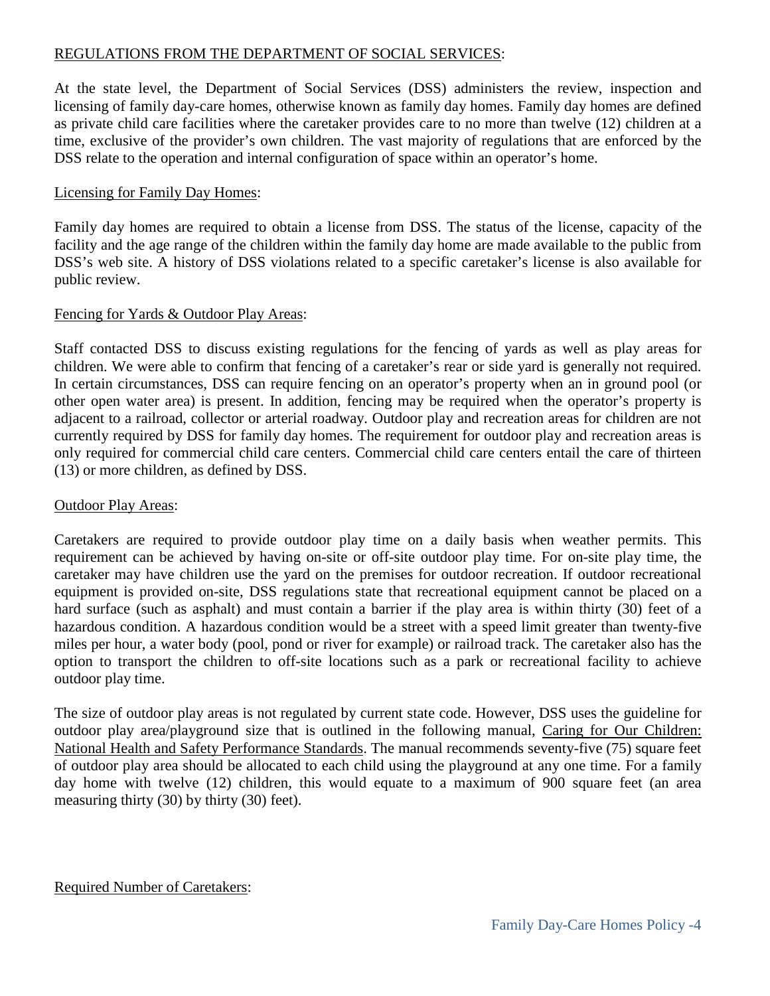# REGULATIONS FROM THE DEPARTMENT OF SOCIAL SERVICES:

At the state level, the Department of Social Services (DSS) administers the review, inspection and licensing of family day-care homes, otherwise known as family day homes. Family day homes are defined as private child care facilities where the caretaker provides care to no more than twelve (12) children at a time, exclusive of the provider's own children. The vast majority of regulations that are enforced by the DSS relate to the operation and internal configuration of space within an operator's home.

# Licensing for Family Day Homes:

Family day homes are required to obtain a license from DSS. The status of the license, capacity of the facility and the age range of the children within the family day home are made available to the public from DSS's web site. A history of DSS violations related to a specific caretaker's license is also available for public review.

# Fencing for Yards & Outdoor Play Areas:

Staff contacted DSS to discuss existing regulations for the fencing of yards as well as play areas for children. We were able to confirm that fencing of a caretaker's rear or side yard is generally not required. In certain circumstances, DSS can require fencing on an operator's property when an in ground pool (or other open water area) is present. In addition, fencing may be required when the operator's property is adjacent to a railroad, collector or arterial roadway. Outdoor play and recreation areas for children are not currently required by DSS for family day homes. The requirement for outdoor play and recreation areas is only required for commercial child care centers. Commercial child care centers entail the care of thirteen (13) or more children, as defined by DSS.

# Outdoor Play Areas:

Caretakers are required to provide outdoor play time on a daily basis when weather permits. This requirement can be achieved by having on-site or off-site outdoor play time. For on-site play time, the caretaker may have children use the yard on the premises for outdoor recreation. If outdoor recreational equipment is provided on-site, DSS regulations state that recreational equipment cannot be placed on a hard surface (such as asphalt) and must contain a barrier if the play area is within thirty (30) feet of a hazardous condition. A hazardous condition would be a street with a speed limit greater than twenty-five miles per hour, a water body (pool, pond or river for example) or railroad track. The caretaker also has the option to transport the children to off-site locations such as a park or recreational facility to achieve outdoor play time.

The size of outdoor play areas is not regulated by current state code. However, DSS uses the guideline for outdoor play area/playground size that is outlined in the following manual, Caring for Our Children: National Health and Safety Performance Standards. The manual recommends seventy-five (75) square feet of outdoor play area should be allocated to each child using the playground at any one time. For a family day home with twelve (12) children, this would equate to a maximum of 900 square feet (an area measuring thirty (30) by thirty (30) feet).

# Required Number of Caretakers: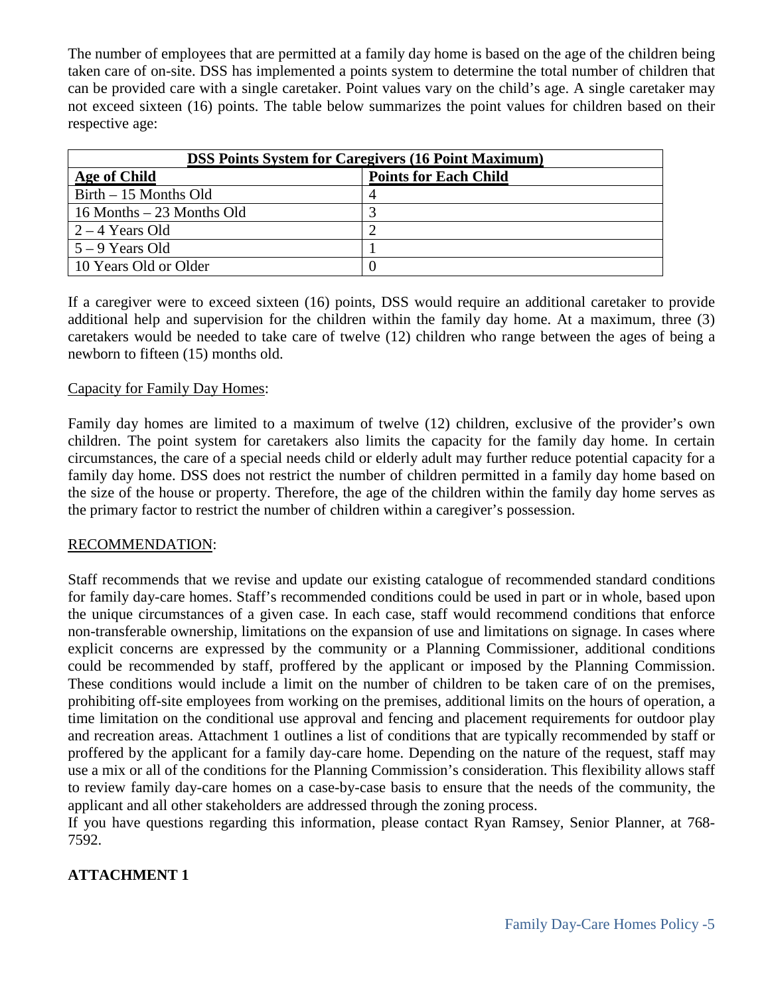The number of employees that are permitted at a family day home is based on the age of the children being taken care of on-site. DSS has implemented a points system to determine the total number of children that can be provided care with a single caretaker. Point values vary on the child's age. A single caretaker may not exceed sixteen (16) points. The table below summarizes the point values for children based on their respective age:

| <b>DSS Points System for Caregivers (16 Point Maximum)</b> |                              |
|------------------------------------------------------------|------------------------------|
| Age of Child                                               | <b>Points for Each Child</b> |
| Birth – 15 Months Old                                      |                              |
| $16$ Months $-23$ Months Old                               |                              |
| $2 - 4$ Years Old                                          |                              |
| $5 - 9$ Years Old                                          |                              |
| 10 Years Old or Older                                      |                              |

If a caregiver were to exceed sixteen (16) points, DSS would require an additional caretaker to provide additional help and supervision for the children within the family day home. At a maximum, three (3) caretakers would be needed to take care of twelve (12) children who range between the ages of being a newborn to fifteen (15) months old.

#### Capacity for Family Day Homes:

Family day homes are limited to a maximum of twelve (12) children, exclusive of the provider's own children. The point system for caretakers also limits the capacity for the family day home. In certain circumstances, the care of a special needs child or elderly adult may further reduce potential capacity for a family day home. DSS does not restrict the number of children permitted in a family day home based on the size of the house or property. Therefore, the age of the children within the family day home serves as the primary factor to restrict the number of children within a caregiver's possession.

#### RECOMMENDATION:

Staff recommends that we revise and update our existing catalogue of recommended standard conditions for family day-care homes. Staff's recommended conditions could be used in part or in whole, based upon the unique circumstances of a given case. In each case, staff would recommend conditions that enforce non-transferable ownership, limitations on the expansion of use and limitations on signage. In cases where explicit concerns are expressed by the community or a Planning Commissioner, additional conditions could be recommended by staff, proffered by the applicant or imposed by the Planning Commission. These conditions would include a limit on the number of children to be taken care of on the premises, prohibiting off-site employees from working on the premises, additional limits on the hours of operation, a time limitation on the conditional use approval and fencing and placement requirements for outdoor play and recreation areas. Attachment 1 outlines a list of conditions that are typically recommended by staff or proffered by the applicant for a family day-care home. Depending on the nature of the request, staff may use a mix or all of the conditions for the Planning Commission's consideration. This flexibility allows staff to review family day-care homes on a case-by-case basis to ensure that the needs of the community, the applicant and all other stakeholders are addressed through the zoning process.

If you have questions regarding this information, please contact Ryan Ramsey, Senior Planner, at 768- 7592.

# **ATTACHMENT 1**